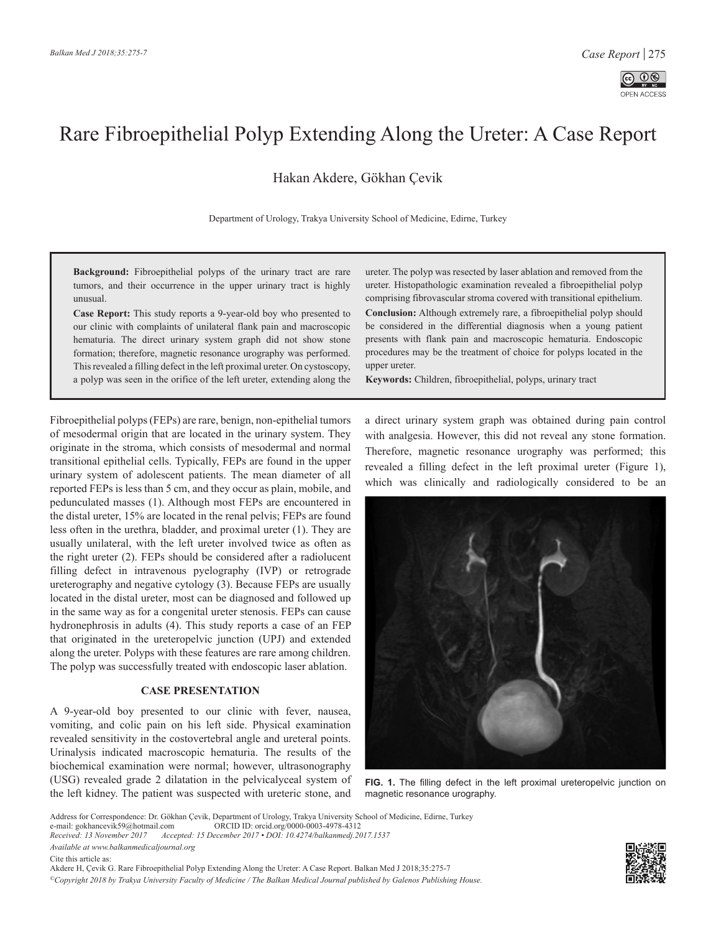

## Rare Fibroepithelial Polyp Extending Along the Ureter: A Case Report

[Hakan Akdere,](https://orcid.org/0000-0003-4978-4312) [Gökhan Çevik](https://orcid.org/0000-0001-5221-5132)

Department of Urology, Trakya University School of Medicine, Edirne, Turkey

**Background:** Fibroepithelial polyps of the urinary tract are rare tumors, and their occurrence in the upper urinary tract is highly unusual.

**Case Report:** This study reports a 9-year-old boy who presented to our clinic with complaints of unilateral flank pain and macroscopic hematuria. The direct urinary system graph did not show stone formation; therefore, magnetic resonance urography was performed. This revealed a filling defect in the left proximal ureter. On cystoscopy, a polyp was seen in the orifice of the left ureter, extending along the ureter. The polyp was resected by laser ablation and removed from the ureter. Histopathologic examination revealed a fibroepithelial polyp comprising fibrovascular stroma covered with transitional epithelium. **Conclusion:** Although extremely rare, a fibroepithelial polyp should be considered in the differential diagnosis when a young patient presents with flank pain and macroscopic hematuria. Endoscopic procedures may be the treatment of choice for polyps located in the upper ureter.

**Keywords:** Children, fibroepithelial, polyps, urinary tract

Fibroepithelial polyps (FEPs) are rare, benign, non-epithelial tumors of mesodermal origin that are located in the urinary system. They originate in the stroma, which consists of mesodermal and normal transitional epithelial cells. Typically, FEPs are found in the upper urinary system of adolescent patients. The mean diameter of all reported FEPs is less than 5 cm, and they occur as plain, mobile, and pedunculated masses (1). Although most FEPs are encountered in the distal ureter, 15% are located in the renal pelvis; FEPs are found less often in the urethra, bladder, and proximal ureter (1). They are usually unilateral, with the left ureter involved twice as often as the right ureter (2). FEPs should be considered after a radiolucent filling defect in intravenous pyelography (IVP) or retrograde ureterography and negative cytology (3). Because FEPs are usually located in the distal ureter, most can be diagnosed and followed up in the same way as for a congenital ureter stenosis. FEPs can cause hydronephrosis in adults (4). This study reports a case of an FEP that originated in the ureteropelvic junction (UPJ) and extended along the ureter. Polyps with these features are rare among children. The polyp was successfully treated with endoscopic laser ablation.

## **CASE PRESENTATION**

A 9-year-old boy presented to our clinic with fever, nausea, vomiting, and colic pain on his left side. Physical examination revealed sensitivity in the costovertebral angle and ureteral points. Urinalysis indicated macroscopic hematuria. The results of the biochemical examination were normal; however, ultrasonography (USG) revealed grade 2 dilatation in the pelvicalyceal system of the left kidney. The patient was suspected with ureteric stone, and a direct urinary system graph was obtained during pain control with analgesia. However, this did not reveal any stone formation. Therefore, magnetic resonance urography was performed; this revealed a filling defect in the left proximal ureter (Figure 1), which was clinically and radiologically considered to be an



**FIG. 1.** The filling defect in the left proximal ureteropelvic junction on magnetic resonance urography.

Address for Correspondence: Dr. Gökhan Çevik, Department of Urology, Trakya University School of Medicine, Edirne, Turkey

*Available at www.balkanmedicaljournal.org*

Cite this article as:

Akdere H, Çevik G. Rare Fibroepithelial Polyp Extending Along the Ureter: A Case Report. Balkan Med J 2018;35:275-7

*©Copyright 2018 by Trakya University Faculty of Medicine / The Balkan Medical Journal published by Galenos Publishing House.*



e-mail: gokhancevik59@hotmail.com ORCID ID: orcid.org/0000-0003-4978-4312<br>Received: 13 November 2017 Accepted: 15 December 2017 • DOI: 10.4274/balkanmedj.20

*Received: 13 November 2017 Accepted: 15 December 2017 • DOI: 10.4274/balkanmedj.2017.1537*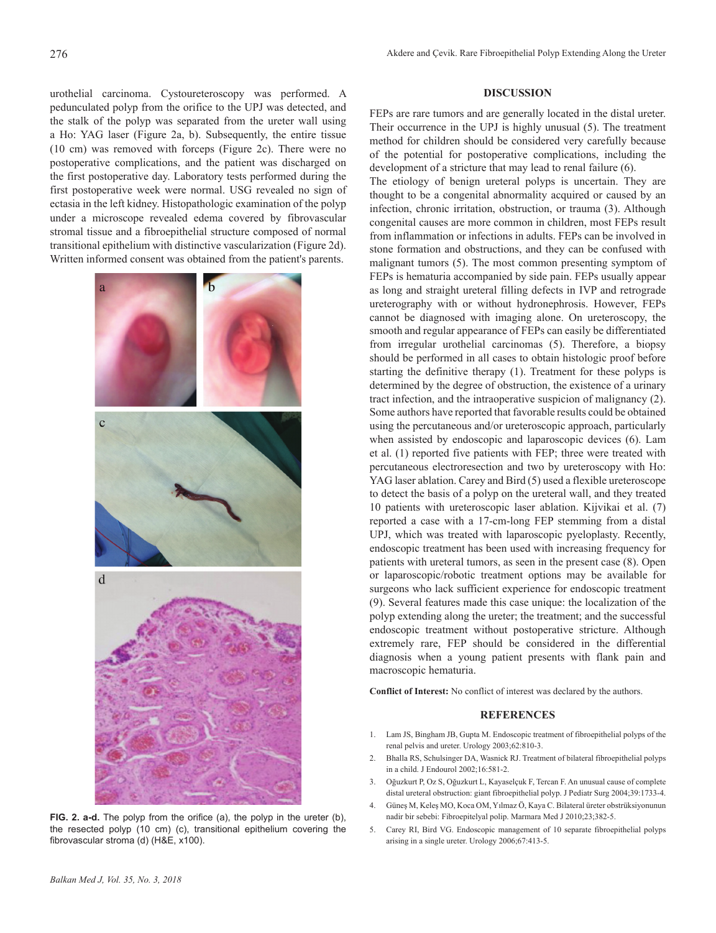urothelial carcinoma. Cystoureteroscopy was performed. A pedunculated polyp from the orifice to the UPJ was detected, and the stalk of the polyp was separated from the ureter wall using a Ho: YAG laser (Figure 2a, b). Subsequently, the entire tissue (10 cm) was removed with forceps (Figure 2c). There were no postoperative complications, and the patient was discharged on the first postoperative day. Laboratory tests performed during the first postoperative week were normal. USG revealed no sign of ectasia in the left kidney. Histopathologic examination of the polyp under a microscope revealed edema covered by fibrovascular stromal tissue and a fibroepithelial structure composed of normal transitional epithelium with distinctive vascularization (Figure 2d). Written informed consent was obtained from the patient's parents.



**FIG. 2. a-d.** The polyp from the orifice (a), the polyp in the ureter (b), the resected polyp (10 cm) (c), transitional epithelium covering the fibrovascular stroma (d) (H&E, x100).

## **DISCUSSION**

FEPs are rare tumors and are generally located in the distal ureter. Their occurrence in the UPJ is highly unusual (5). The treatment method for children should be considered very carefully because of the potential for postoperative complications, including the development of a stricture that may lead to renal failure (6).

The etiology of benign ureteral polyps is uncertain. They are thought to be a congenital abnormality acquired or caused by an infection, chronic irritation, obstruction, or trauma (3). Although congenital causes are more common in children, most FEPs result from inflammation or infections in adults. FEPs can be involved in stone formation and obstructions, and they can be confused with malignant tumors (5). The most common presenting symptom of FEPs is hematuria accompanied by side pain. FEPs usually appear as long and straight ureteral filling defects in IVP and retrograde ureterography with or without hydronephrosis. However, FEPs cannot be diagnosed with imaging alone. On ureteroscopy, the smooth and regular appearance of FEPs can easily be differentiated from irregular urothelial carcinomas (5). Therefore, a biopsy should be performed in all cases to obtain histologic proof before starting the definitive therapy (1). Treatment for these polyps is determined by the degree of obstruction, the existence of a urinary tract infection, and the intraoperative suspicion of malignancy (2). Some authors have reported that favorable results could be obtained using the percutaneous and/or ureteroscopic approach, particularly when assisted by endoscopic and laparoscopic devices (6). Lam et al. (1) reported five patients with FEP; three were treated with percutaneous electroresection and two by ureteroscopy with Ho: YAG laser ablation. Carey and Bird (5) used a flexible ureteroscope to detect the basis of a polyp on the ureteral wall, and they treated 10 patients with ureteroscopic laser ablation. Kijvikai et al. (7) reported a case with a 17-cm-long FEP stemming from a distal UPJ, which was treated with laparoscopic pyeloplasty. Recently, endoscopic treatment has been used with increasing frequency for patients with ureteral tumors, as seen in the present case (8). Open or laparoscopic/robotic treatment options may be available for surgeons who lack sufficient experience for endoscopic treatment (9). Several features made this case unique: the localization of the polyp extending along the ureter; the treatment; and the successful endoscopic treatment without postoperative stricture. Although extremely rare, FEP should be considered in the differential diagnosis when a young patient presents with flank pain and macroscopic hematuria.

**Conflict of Interest:** No conflict of interest was declared by the authors.

## **REFERENCES**

- 1. Lam JS, Bingham JB, Gupta M. Endoscopic treatment of fibroepithelial polyps of the renal pelvis and ureter. Urology 2003;62:810-3.
- 2. Bhalla RS, Schulsinger DA, Wasnick RJ. Treatment of bilateral fibroepithelial polyps in a child. J Endourol 2002;16:581-2.
- 3. Oğuzkurt P, Oz S, Oğuzkurt L, Kayaselçuk F, Tercan F. An unusual cause of complete distal ureteral obstruction: giant fibroepithelial polyp. J Pediatr Surg 2004;39:1733-4.
- 4. Güneş M, Keleş MO, Koca OM, Yılmaz Ö, Kaya C. Bilateral üreter obstrüksiyonunun nadir bir sebebi: Fibroepitelyal polip. Marmara Med J 2010;23;382-5.
- 5. Carey RI, Bird VG. Endoscopic management of 10 separate fibroepithelial polyps arising in a single ureter. Urology 2006;67:413-5.